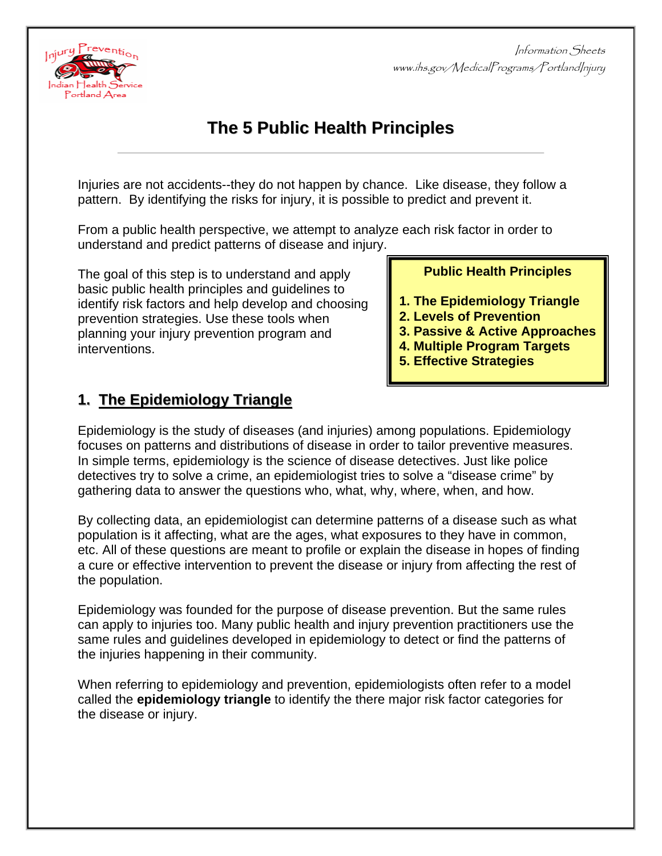

# **The 5 Public Health Principles**

Injuries are not accidents--they do not happen by chance. Like disease, they follow a pattern. By identifying the risks for injury, it is possible to predict and prevent it.

From a public health perspective, we attempt to analyze each risk factor in order to understand and predict patterns of disease and injury.

The goal of this step is to understand and apply basic public health principles and guidelines to identify risk factors and help develop and choosing prevention strategies. Use these tools when planning your injury prevention program and interventions.

**Public Health Principles** 

- **1. The Epidemiology Triangle**
- **2. Levels of Prevention**
- **3. Passive & Active Approaches**
- **4. Multiple Program Targets**
- **5. Effective Strategies**

### **1. The Epidemiology Triangle**

Epidemiology is the study of diseases (and injuries) among populations. Epidemiology focuses on patterns and distributions of disease in order to tailor preventive measures. In simple terms, epidemiology is the science of disease detectives. Just like police detectives try to solve a crime, an epidemiologist tries to solve a "disease crime" by gathering data to answer the questions who, what, why, where, when, and how.

By collecting data, an epidemiologist can determine patterns of a disease such as what population is it affecting, what are the ages, what exposures to they have in common, etc. All of these questions are meant to profile or explain the disease in hopes of finding a cure or effective intervention to prevent the disease or injury from affecting the rest of the population.

Epidemiology was founded for the purpose of disease prevention. But the same rules can apply to injuries too. Many public health and injury prevention practitioners use the same rules and guidelines developed in epidemiology to detect or find the patterns of the injuries happening in their community.

When referring to epidemiology and prevention, epidemiologists often refer to a model called the **epidemiology triangle** to identify the there major risk factor categories for the disease or injury.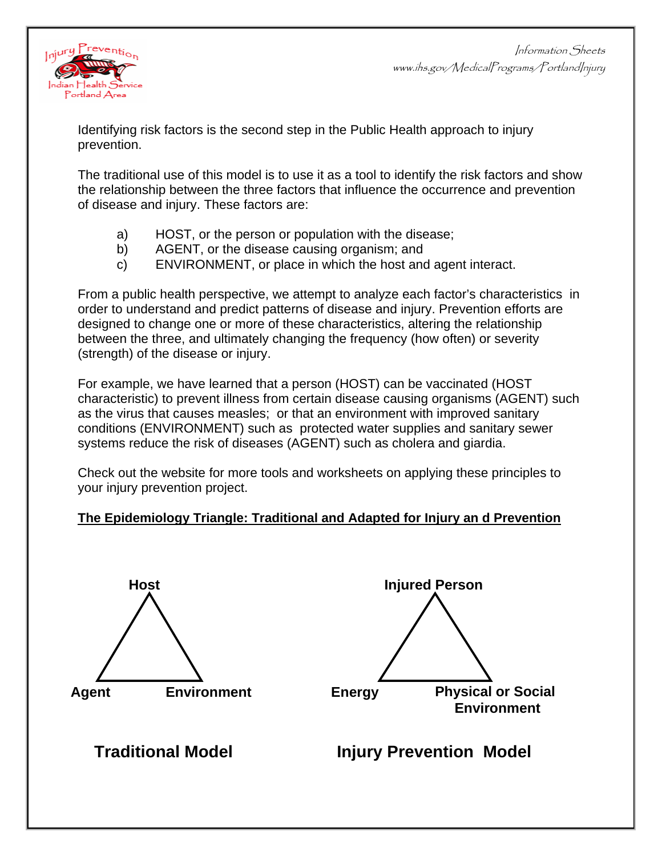

Identifying risk factors is the second step in the Public Health approach to injury prevention.

The traditional use of this model is to use it as a tool to identify the risk factors and show the relationship between the three factors that influence the occurrence and prevention of disease and injury. These factors are:

- a) HOST, or the person or population with the disease;
- b) AGENT, or the disease causing organism; and
- c) ENVIRONMENT, or place in which the host and agent interact.

From a public health perspective, we attempt to analyze each factor's characteristics in order to understand and predict patterns of disease and injury. Prevention efforts are designed to change one or more of these characteristics, altering the relationship between the three, and ultimately changing the frequency (how often) or severity (strength) of the disease or injury.

For example, we have learned that a person (HOST) can be vaccinated (HOST characteristic) to prevent illness from certain disease causing organisms (AGENT) such as the virus that causes measles; or that an environment with improved sanitary conditions (ENVIRONMENT) such as protected water supplies and sanitary sewer systems reduce the risk of diseases (AGENT) such as cholera and giardia.

Check out the website for more tools and worksheets on applying these principles to your injury prevention project.

### **The Epidemiology Triangle: Traditional and Adapted for Injury an d Prevention**





## **Traditional Model Traditional Model Injury Prevention Model**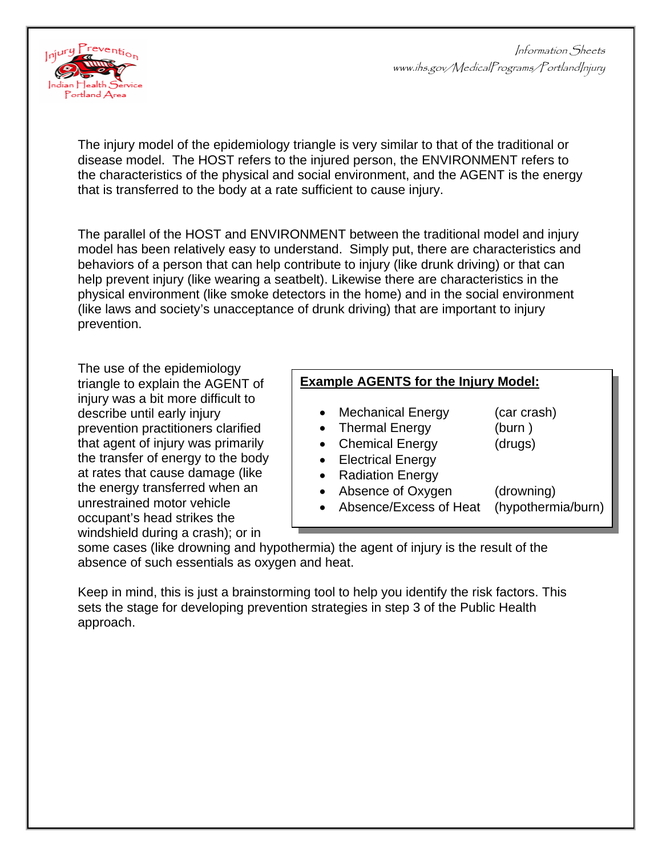

The injury model of the epidemiology triangle is very similar to that of the traditional or disease model. The HOST refers to the injured person, the ENVIRONMENT refers to the characteristics of the physical and social environment, and the AGENT is the energy that is transferred to the body at a rate sufficient to cause injury.

The parallel of the HOST and ENVIRONMENT between the traditional model and injury model has been relatively easy to understand. Simply put, there are characteristics and behaviors of a person that can help contribute to injury (like drunk driving) or that can help prevent injury (like wearing a seatbelt). Likewise there are characteristics in the physical environment (like smoke detectors in the home) and in the social environment (like laws and society's unacceptance of drunk driving) that are important to injury prevention.

The use of the epidemiology triangle to explain the AGENT of injury was a bit more difficult to describe until early injury prevention practitioners clarified that agent of injury was primarily the transfer of energy to the body at rates that cause damage (like the energy transferred when an unrestrained motor vehicle occupant's head strikes the windshield during a crash); or in

### **Example AGENTS for the Injury Model:**

- Mechanical Energy (car crash)
	-
- Thermal Energy (burn)
	-
- Chemical Energy (drugs)
- Electrical Energy
- Radiation Energy
- Absence of Oxygen (drowning)
	- Absence/Excess of Heat (hypothermia/burn)

some cases (like drowning and hypothermia) the agent of injury is the result of the absence of such essentials as oxygen and heat.

Keep in mind, this is just a brainstorming tool to help you identify the risk factors. This sets the stage for developing prevention strategies in step 3 of the Public Health approach.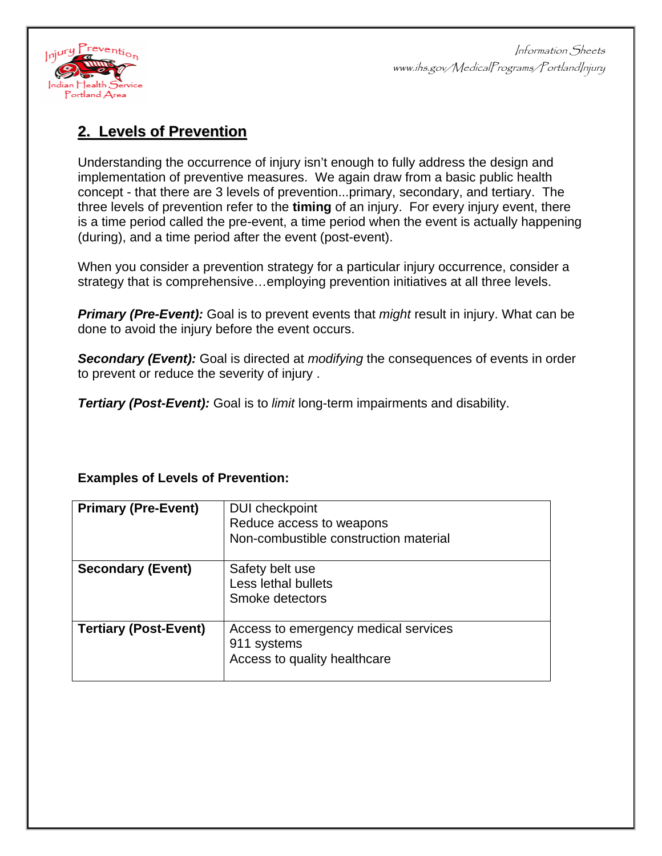

### **2. Levels of Prevention**

Understanding the occurrence of injury isn't enough to fully address the design and implementation of preventive measures. We again draw from a basic public health concept - that there are 3 levels of prevention...primary, secondary, and tertiary. The three levels of prevention refer to the **timing** of an injury. For every injury event, there is a time period called the pre-event, a time period when the event is actually happening (during), and a time period after the event (post-event).

When you consider a prevention strategy for a particular injury occurrence, consider a strategy that is comprehensive…employing prevention initiatives at all three levels.

*Primary (Pre-Event):* Goal is to prevent events that *might* result in injury. What can be done to avoid the injury before the event occurs.

**Secondary (Event):** Goal is directed at *modifying* the consequences of events in order to prevent or reduce the severity of injury .

*Tertiary (Post-Event):* Goal is to *limit* long-term impairments and disability.

### **Examples of Levels of Prevention:**

| <b>Primary (Pre-Event)</b>   | <b>DUI</b> checkpoint<br>Reduce access to weapons<br>Non-combustible construction material |
|------------------------------|--------------------------------------------------------------------------------------------|
| <b>Secondary (Event)</b>     | Safety belt use<br>Less lethal bullets<br>Smoke detectors                                  |
| <b>Tertiary (Post-Event)</b> | Access to emergency medical services<br>911 systems<br>Access to quality healthcare        |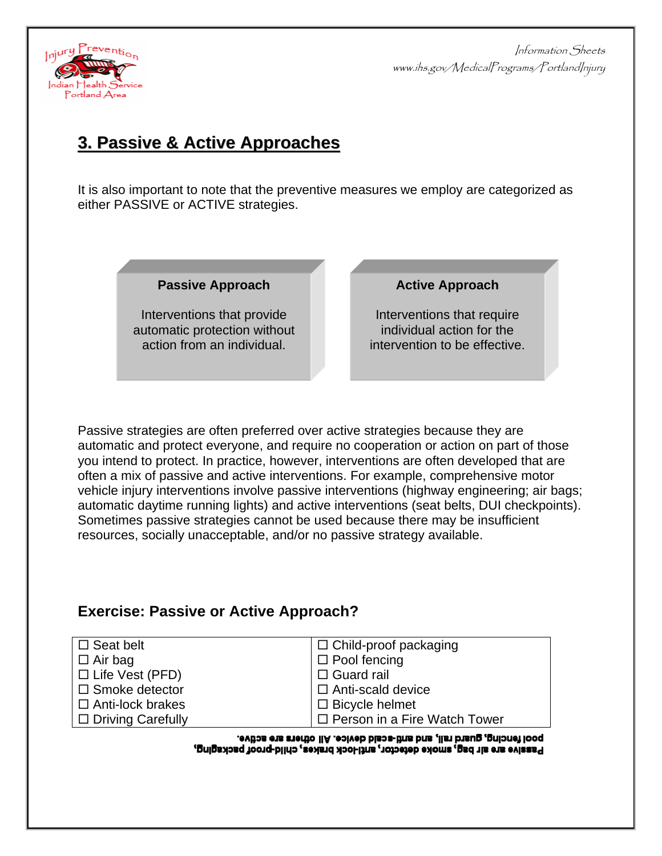

## **3.Passive& ActiveApproaches pproaches**

It is also important to note that the preventive measures we employ are categorized as either PASSIVE or ACTIVE strategies.

**Passive Approach** 

Interventions that provide automatic protection without action from an individual.

#### **Active Approach**

Interventions that require individual action for the intervention to be effective.

Passive strategies are often preferred over active strategies because they are automatic and protect everyone, and require no cooperation or action on part of those you intend to protect. In practice, however, interventions are often developed that are often a mix of passive and active interventions. For example, comprehensive motor vehicle injury interventions involve passive interventions (highway engineering; air bags; automatic daytime running lights) and active interventions (seat belts, DUI checkpoints). Sometimes passive strategies cannot be used because there may be insufficient resources, socially unacceptable, and/or no passive strategy available.

### **Exercise: Passive or Active Approach?**

| $\Box$ Child-proof packaging        |
|-------------------------------------|
| $\Box$ Pool fencing                 |
| $\Box$ Guard rail                   |
| $\Box$ Anti-scald device            |
| $\Box$ Bicycle helmet               |
| $\Box$ Person in a Fire Watch Tower |
|                                     |

pool fencing, guard rail, and anti-scald device. All others are active. Passive are alr bag, smoke detector, anti-lock brakes, child-proof packaging,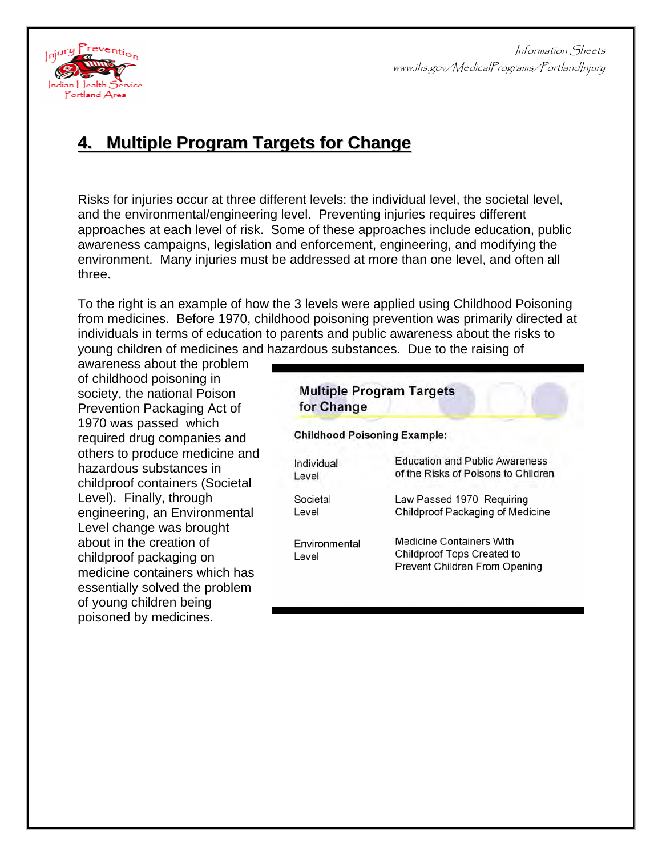

## **4. Multiple Program Targets for Change**

Risks for injuries occur at three different levels: the individual level, the societal level, and the environmental/engineering level. Preventing injuries requires different approaches at each level of risk. Some of these approaches include education, public awareness campaigns, legislation and enforcement, engineering, and modifying the environment. Many injuries must be addressed at more than one level, and often all three.

To the right is an example of how the 3 levels were applied using Childhood Poisoning from medicines. Before 1970, childhood poisoning prevention was primarily directed at individuals in terms of education to parents and public awareness about the risks to young children of medicines and hazardous substances. Due to the raising of

awareness about the problem of childhood poisoning in society, the national Poison Prevention Packaging Act of 1970 was passed which required drug companies and others to produce medicine and hazardous substances in childproof containers (Societal Level). Finally, through engineering, an Environmental Level change was brought about in the creation of childproof packaging on medicine containers which has essentially solved the problem of young children being poisoned by medicines.

| <b>Multiple Program Targets</b><br>for Change<br><b>Childhood Poisoning Example:</b> |                                                                                                       |
|--------------------------------------------------------------------------------------|-------------------------------------------------------------------------------------------------------|
|                                                                                      |                                                                                                       |
| Level                                                                                | of the Risks of Poisons to Children                                                                   |
| Societal                                                                             | Law Passed 1970 Requiring                                                                             |
| Level                                                                                | Childproof Packaging of Medicine                                                                      |
| Environmental<br>Level                                                               | <b>Medicine Containers With</b><br><b>Childproof Tops Created to</b><br>Prevent Children From Opening |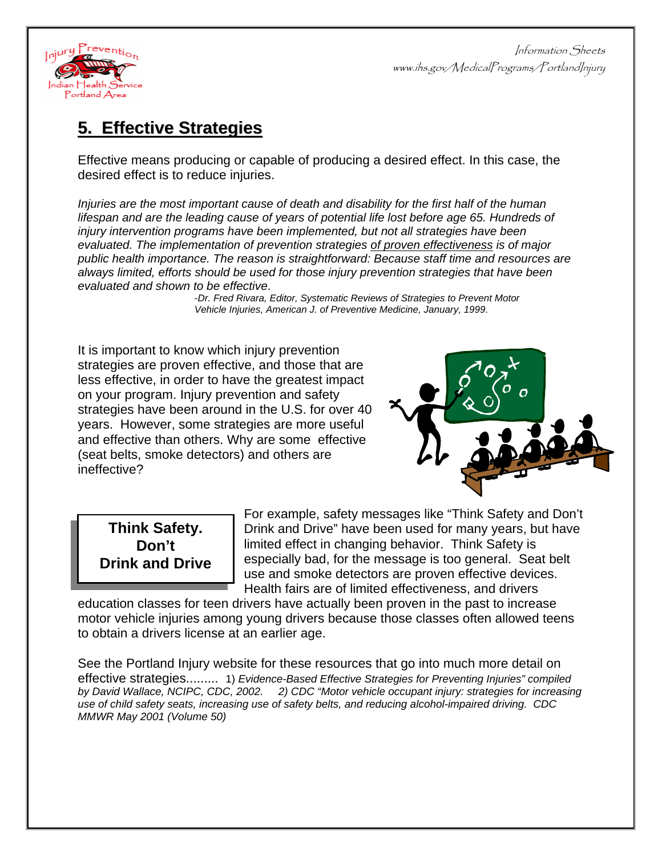

## **5.Effective ffective Strategies trategies**

Effective means producing or capable of producing a desired effect. In this case, the desired effect is to reduce injuries.

*Injuries are the most important cause of death and disability for the first half of the human*  lifespan and are the leading cause of years of potential life lost before age 65. Hundreds of *injury intervention programs have been implemented, but not all strategies have been evaluated. The implementation of prevention strategies of proven effectiveness is of major public health importance. The reason is straightforward: Because staff time and resources are always limited, efforts should be used for those injury prevention strategies that have been evaluated and shown to be effective*. -*Dr. Fred Rivara, Editor, Systematic Reviews of Strategies to Prevent Motor* 

 *Vehicle Injuries, American J. of Preventive Medicine, January, 1999*.

It is important to know which injury prevention strategies are proven effective, and those that are less effective, in order to have the greatest impact on your program. Injury prevention and safety strategies have been around in the U.S. for over 40 years. However, some strategies are more useful and effective than others. Why are some effective (seat belts, smoke detectors) and others are ineffective?



## **Think Safety. Don't Drink and Drive**

For example, safety messages like "Think Safety and Don't Drink and Drive" have been used for many years, but have limited effect in changing behavior. Think Safety is especially bad, for the message is too general. Seat belt use and smoke detectors are proven effective devices. Health fairs are of limited effectiveness, and drivers

education classes for teen drivers have actually been proven in the past to increase motor vehicle injuries among young drivers because those classes often allowed teens to obtain a drivers license at an earlier age.

See the Portland Injury website for these resources that go into much more detail on effective strategies......... 1) *Evidence-Based Effective Strategies for Preventing Injuries" compiled by David Wallace, NCIPC, CDC, 2002. 2) CDC "Motor vehicle occupant injury: strategies for increasing use of child safety seats, increasing use of safety belts, and reducing alcohol-impaired driving. CDC MMWR May 2001 (Volume 50)*